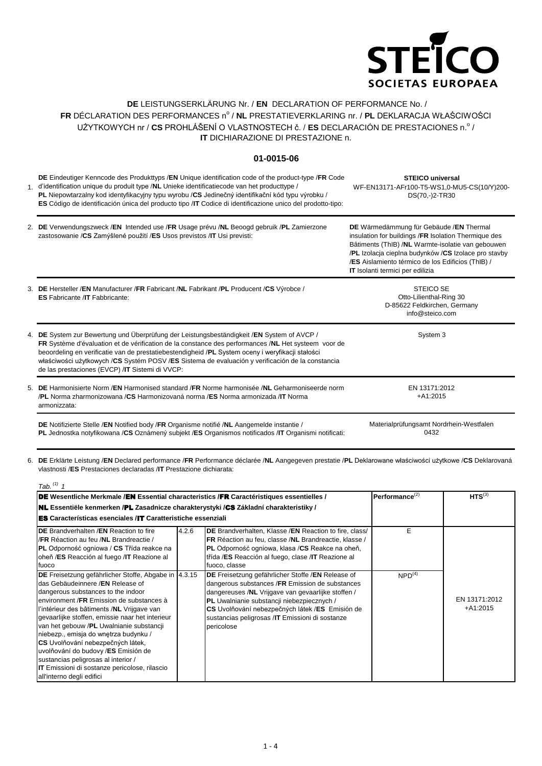

## **DE** LEISTUNGSERKLÄRUNG Nr. / **EN** DECLARATION OF PERFORMANCE No. / FR DÉCLARATION DES PERFORMANCES nº / **NL** PRESTATIEVERKLARING nr. / **PL** DEKLARACJA WŁAŚCIWOŚCI UŻYTKOWYCH nr / CS PROHLÁŠENÍ O VLASTNOSTECH č. / ES DECLARACIÓN DE PRESTACIONES n.º / **IT** DICHIARAZIONE DI PRESTAZIONE n.

## **01-0015-06**

1. d'identification unique du produit type /**NL** Unieke identificatiecode van het producttype / **DE** Eindeutiger Kenncode des Produkttyps /**EN** Unique identification code of the product-type /**FR** Code **PL** Niepowtarzalny kod identyfikacyjny typu wyrobu /**CS** Jedinečný identifikační kód typu výrobku / **ES** Código de identificación única del producto tipo /**IT** Codice di identificazione unico del prodotto-tipo: **STEICO universal** WF-EN13171-AFr100-T5-WS1,0-MU5-CS(10/Y)200- DS(70,-)2-TR30

| 2. DE Verwendungszweck /EN Intended use /FR Usage prévu /NL Beoogd gebruik /PL Zamierzone<br>zastosowanie / CS Zamýšlené použití / ES Usos previstos / IT Usi previsti:                                                                                                                                                                                                                                                                                       | DE Wärmedämmung für Gebäude /EN Thermal<br>insulation for buildings / FR Isolation Thermique des<br>Bâtiments (ThIB) /NL Warmte-isolatie van gebouwen<br>/PL Izolacja cieplna budynków /CS Izolace pro stavby<br>/ES Aislamiento térmico de los Edificios (ThIB) /<br><b>IT</b> Isolanti termici per edilizia |
|---------------------------------------------------------------------------------------------------------------------------------------------------------------------------------------------------------------------------------------------------------------------------------------------------------------------------------------------------------------------------------------------------------------------------------------------------------------|---------------------------------------------------------------------------------------------------------------------------------------------------------------------------------------------------------------------------------------------------------------------------------------------------------------|
| 3. DE Hersteller /EN Manufacturer /FR Fabricant /NL Fabrikant /PL Producent /CS Výrobce /<br><b>ES</b> Fabricante / <b>IT</b> Fabbricante:                                                                                                                                                                                                                                                                                                                    | STEICO SE<br>Otto-Lilienthal-Ring 30<br>D-85622 Feldkirchen, Germany<br>info@steico.com                                                                                                                                                                                                                       |
| 4. DE System zur Bewertung und Überprüfung der Leistungsbeständigkeit /EN System of AVCP /<br>FR Système d'évaluation et de vérification de la constance des performances /NL Het systeem voor de<br>beoordeling en verificatie van de prestatiebestendigheid /PL System oceny i weryfikacji stałości<br>właściwości użytkowych /CS Systém POSV /ES Sistema de evaluación y verificación de la constancia<br>de las prestaciones (EVCP) / IT Sistemi di VVCP: | System 3                                                                                                                                                                                                                                                                                                      |
| 5. DE Harmonisierte Norm /EN Harmonised standard /FR Norme harmonisée /NL Geharmoniseerde norm<br><b>/PL</b> Norma zharmonizowana / <b>CS</b> Harmonizovaná norma / <b>ES</b> Norma armonizada / <b>IT</b> Norma<br>armonizzata:                                                                                                                                                                                                                              | EN 13171:2012<br>$+A1:2015$                                                                                                                                                                                                                                                                                   |

**DE** Notifizierte Stelle /**EN** Notified body /**FR** Organisme notifié /**NL** Aangemelde instantie / **PL** Jednostka notyfikowana /**CS** Oznámený subjekt /**ES** Organismos notificados /**IT** Organismi notificati: Materialprüfungsamt Nordrhein-Westfalen 0432

6. **DE** Erklärte Leistung /**EN** Declared performance /**FR** Performance déclarée /**NL** Aangegeven prestatie /**PL** Deklarowane właściwości użytkowe /**CS** Deklarovaná vlastnosti /**ES** Prestaciones declaradas /**IT** Prestazione dichiarata:

| Tab. $(1)$ 1                                                                                                                                                                                                                                                                                                                                                                                                                                                                                                                                                                     |                            |                                                                                                                                                                                                                                                                                                                               |                      |                             |  |  |  |  |
|----------------------------------------------------------------------------------------------------------------------------------------------------------------------------------------------------------------------------------------------------------------------------------------------------------------------------------------------------------------------------------------------------------------------------------------------------------------------------------------------------------------------------------------------------------------------------------|----------------------------|-------------------------------------------------------------------------------------------------------------------------------------------------------------------------------------------------------------------------------------------------------------------------------------------------------------------------------|----------------------|-----------------------------|--|--|--|--|
| DE Wesentliche Merkmale /EN Essential characteristics /FR Caractéristiques essentielles /                                                                                                                                                                                                                                                                                                                                                                                                                                                                                        | Performance <sup>(2)</sup> | $HTS^{(3)}$                                                                                                                                                                                                                                                                                                                   |                      |                             |  |  |  |  |
| NL Essentiële kenmerken /PL Zasadnicze charakterystyki /CS Základní charakteristiky /                                                                                                                                                                                                                                                                                                                                                                                                                                                                                            |                            |                                                                                                                                                                                                                                                                                                                               |                      |                             |  |  |  |  |
| <b>ES</b> Características esenciales /IT Caratteristiche essenziali                                                                                                                                                                                                                                                                                                                                                                                                                                                                                                              |                            |                                                                                                                                                                                                                                                                                                                               |                      |                             |  |  |  |  |
| <b>IDE</b> Brandverhalten /EN Reaction to fire<br>I/FR Réaction au feu /NL Brandreactie /<br><b>PL</b> Odporność ogniowa / CS Třída reakce na<br>oheň /ES Reacción al fuego /IT Reazione al<br>fuoco                                                                                                                                                                                                                                                                                                                                                                             | 4.2.6                      | DE Brandverhalten, Klasse /EN Reaction to fire, class/<br>FR Réaction au feu, classe /NL Brandreactie, klasse /<br>PL Odporność ogniowa, klasa /CS Reakce na oheň,<br>třída /ES Reacción al fuego, clase /IT Reazione al<br>fuoco, classe                                                                                     | Е                    |                             |  |  |  |  |
| DE Freisetzung gefährlicher Stoffe, Abgabe in 4.3.15<br>das Gebäudeinnere /EN Release of<br>dangerous substances to the indoor<br>environment / FR Emission de substances à<br>l'intérieur des bâtiments /NL Vrijgave van<br>gevaarlijke stoffen, emissie naar het interieur<br>van het gebouw /PL Uwalnianie substancji<br>niebezp., emisja do wnętrza budynku /<br><b>CS</b> Uvolňování nebezpečných látek,<br>uvolňování do budovy /ES Emisión de<br>sustancias peligrosas al interior /<br><b>IT</b> Emissioni di sostanze pericolose, rilascio<br>all'interno degli edifici |                            | DE Freisetzung gefährlicher Stoffe / EN Release of<br>dangerous substances /FR Emission de substances<br>dangereuses /NL Vrijgave van gevaarlijke stoffen /<br>PL Uwalnianie substancji niebezpiecznych /<br>CS Uvolňování nebezpečných látek /ES Emisión de<br>sustancias peligrosas /IT Emissioni di sostanze<br>pericolose | $\mathsf{NPD}^{(4)}$ | EN 13171:2012<br>$+A1:2015$ |  |  |  |  |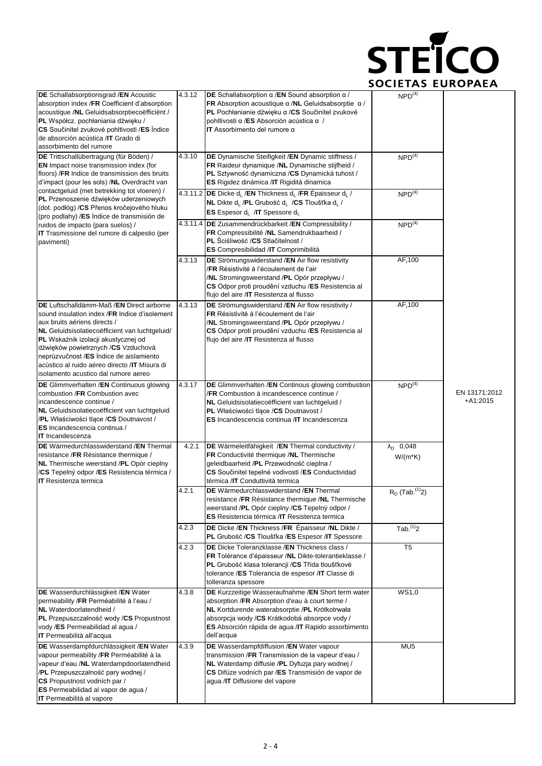

| DE Schallabsorptionsgrad /EN Acoustic<br>absorption index /FR Coefficient d'absorption<br>acoustique /NL Geluidsabsorptiecoëfficient /<br>PL Współcz. pochłaniania dźwięku /<br>CS Součinitel zvukové pohltivosti /ES Indice<br>de absorción acústica /IT Grado di<br>assorbimento del rumore                                                                                                    | 4.3.12 | DE Schallabsorption $\alpha$ /EN Sound absorption $\alpha$ /<br>FR Absorption acoustique $\alpha$ /NL Geluidsabsorptie $\alpha$ /<br>PL Pochłanianie dźwięku a /CS Součinitel zvukové<br>pohltivosti α/ES Absorción acústica α /<br>IT Assorbimento del rumore $\alpha$       | NPD <sup>(4)</sup>               |                             |
|--------------------------------------------------------------------------------------------------------------------------------------------------------------------------------------------------------------------------------------------------------------------------------------------------------------------------------------------------------------------------------------------------|--------|-------------------------------------------------------------------------------------------------------------------------------------------------------------------------------------------------------------------------------------------------------------------------------|----------------------------------|-----------------------------|
| DE Trittschallübertragung (für Böden) /<br>EN Impact noise transmission index (for<br>floors) / FR Indice de transmission des bruits<br>d'impact (pour les sols) /NL Overdracht van                                                                                                                                                                                                              | 4.3.10 | DE Dynamische Steifigkeit / EN Dynamic stiffness /<br>FR Raideur dynamique /NL Dynamische stijfheid /<br>PL Sztywność dynamiczna /CS Dynamická tuhost /<br>ES Rigidez dinámica / IT Rigidità dinamica                                                                         | $NPD^{(4)}$                      |                             |
| contactgeluid (met betrekking tot vloeren) /<br>PL Przenoszenie dźwięków uderzeniowych<br>(dot. podłóg) / CS Přenos kročejového hluku<br>(pro podlahy) /ES Índice de transmisión de                                                                                                                                                                                                              |        | 4.3.11.2 DE Dicke d <sub>i</sub> /EN Thickness d <sub>i</sub> /FR Épaisseur d <sub>i</sub> /<br>NL Dikte d <sub>i</sub> /PL Grubość d <sub>i</sub> /CS Tloušťka d <sub>i</sub> /<br>ES Espesor d <sub>L</sub> /IT Spessore d <sub>L</sub>                                     | NPD <sup>(4)</sup>               |                             |
| ruidos de impacto (para suelos) /<br>IT Trasmissione del rumore di calpestio (per<br>pavimenti)                                                                                                                                                                                                                                                                                                  |        | 4.3.11.4 DE Zusammendrückbarkeit / EN Compressibility /<br>FR Compressibilité /NL Samendrukbaarheid /<br>PL Sciśliwość /CS Stlačitelnost /<br>ES Compresibilidad /IT Comprimibilità                                                                                           | NPD <sup>(4)</sup>               |                             |
|                                                                                                                                                                                                                                                                                                                                                                                                  | 4.3.13 | DE Strömungswiderstand / EN Air flow resistivity<br>/FR Résistivité à l'écoulement de l'air<br>/NL Stromingsweerstand /PL Opór przepływu /<br>CS Odpor proti proudění vzduchu /ES Resistencia al<br>flujo del aire /IT Resistenza al flusso                                   | AF <sub>r</sub> 100              |                             |
| DE Luftschalldämm-Maß / EN Direct airborne<br>sound insulation index /FR Indice d'isolement<br>aux bruits aériens directs /<br>NL Geluidsisolatiecoëfficient van luchtgeluid/<br>PL Wskaźnik izolacji akustycznej od<br>dźwięków powietrznych /CS Vzduchová<br>neprůzvučnost /ES Índice de aislamiento<br>acústico al ruido aéreo directo / IT Misura di<br>isolamento acustico dal rumore aereo | 4.3.13 | DE Strömungswiderstand /EN Air flow resistivity /<br>FR Résistivité à l'écoulement de l'air<br>/NL Stromingsweerstand /PL Opór przepływu /<br>CS Odpor proti proudění vzduchu /ES Resistencia al<br>flujo del aire /IT Resistenza al flusso                                   | AF <sub>r</sub> 100              |                             |
| DE Glimmverhalten /EN Continuous glowing<br>combustion /FR Combustion avec<br>incandescence continue /<br>NL Geluidsisolatiecoëfficient van luchtgeluid<br>/PL Właściwości tlące /CS Doutnavost /<br>ES Incandescencia continua /<br><b>IT</b> Incandescenza                                                                                                                                     | 4.3.17 | <b>DE</b> Glimmverhalten / <b>EN</b> Continous glowing combustion<br>/FR Combustion à incandescence continue /<br>NL Geluidsisolatiecoëfficient van luchtgeluid /<br>PL Właściwości tlące /CS Doutnavost /<br>ES Incandescencia continua / IT Incandescenza                   | NPD <sup>(4)</sup>               | EN 13171:2012<br>$+A1:2015$ |
| <b>DE</b> Wärmedurchlasswiderstand / <b>EN</b> Thermal<br>resistance /FR Résistance thermique /<br>NL Thermische weerstand /PL Opór cieplny<br>/CS Tepelný odpor /ES Resistencia térmica /<br><b>IT</b> Resistenza termica                                                                                                                                                                       | 4.2.1  | DE Wärmeleitfähigkeit /EN Thermal conductivity /<br>FR Conductivité thermique /NL Thermische<br>geleidbaarheid /PL Przewodność cieplna /<br>CS Součinitel tepelné vodivosti /ES Conductividad<br>térmica /IT Conduttività termica                                             | $\lambda_{D}$ 0,048<br>$W/(m*K)$ |                             |
|                                                                                                                                                                                                                                                                                                                                                                                                  | 4.2.1  | <b>DE</b> Wärmedurchlasswiderstand / <b>EN</b> Thermal<br>resistance /FR Résistance thermique /NL Thermische<br>weerstand /PL Opór cieplny /CS Tepelný odpor /<br><b>ES</b> Resistencia térmica / <b>IT</b> Resistenza termica                                                | $R_D$ (Tab. $(1)$ )              |                             |
|                                                                                                                                                                                                                                                                                                                                                                                                  | 4.2.3  | DE Dicke / EN Thickness / FR Epaisseur / NL Dikte /<br>PL Grubość /CS Tloušťka /ES Espesor /IT Spessore                                                                                                                                                                       | $Tab.$ <sup>(1)</sup> 2          |                             |
|                                                                                                                                                                                                                                                                                                                                                                                                  | 4.2.3  | DE Dicke Toleranzklasse / EN Thickness class /<br>FR Tolérance d'épaisseur /NL Dikte-tolerantieklasse /<br>PL Grubość klasa tolerancji / CS Třída tloušťkové<br>tolerance /ES Tolerancia de espesor /IT Classe di<br>tolleranza spessore                                      | T <sub>5</sub>                   |                             |
| DE Wasserdurchlässigkeit /EN Water<br>permeability /FR Perméabilité à l'eau /<br>NL Waterdoorlatendheid /<br>PL Przepuszczalność wody /CS Propustnost<br>vody /ES Permeabilidad al agua /<br><b>IT</b> Permeabilità all'acqua                                                                                                                                                                    | 4.3.8  | DE Kurzzeitige Wasseraufnahme /EN Short term water<br>absorption /FR Absorption d'eau à court terme /<br>NL Kortdurende waterabsorptie /PL Krótkotrwała<br>absorpcja wody /CS Krátkodobá absorpce vody /<br>ES Absorción rápida de agua /IT Rapido assorbimento<br>dell'acqua | WS1,0                            |                             |
| DE Wasserdampfdurchlässigkeit /EN Water<br>vapour permeability /FR Perméabilité à la<br>vapeur d'eau /NL Waterdampdoorlatendheid<br>/PL Przepuszczalność pary wodnej /<br>CS Propustnost vodních par /<br>ES Permeabilidad al vapor de agua /<br>IT Permeabilità al vapore                                                                                                                       | 4.3.9  | DE Wasserdampfdiffusion /EN Water vapour<br>transmission / FR Transmission de la vapeur d'eau /<br>NL Waterdamp diffusie /PL Dyfuzja pary wodnej /<br>CS Difúze vodních par /ES Transmisión de vapor de<br>agua /IT Diffusione del vapore                                     | MU <sub>5</sub>                  |                             |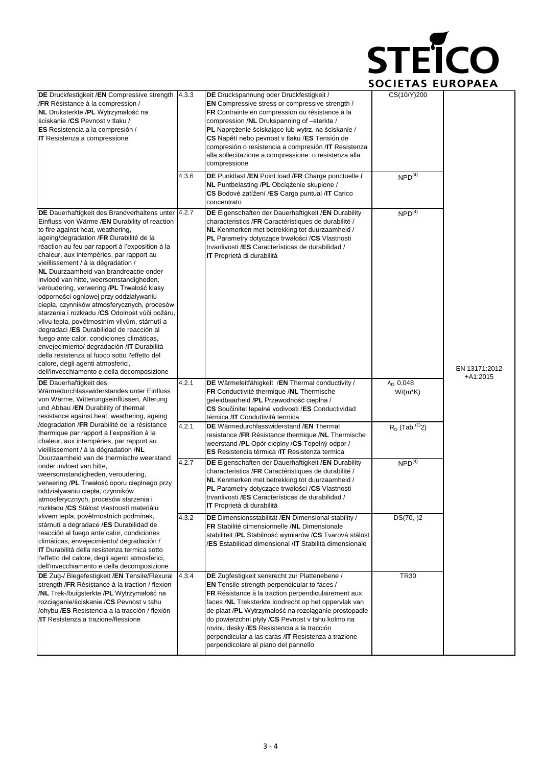

| DE Druckfestigkeit /EN Compressive strength<br>/FR Résistance à la compression /<br>NL Druksterkte /PL Wytrzymałość na<br>ściskanie / CS Pevnost v tlaku /<br>ES Resistencia a la compresión /<br><b>IT</b> Resistenza a compressione                                                                                                                                                                                                                                                                                                                                                                                                                                                                                                                                                                                                                                                                                               | 4.3.3 | DE Druckspannung oder Druckfestigkeit /<br><b>EN</b> Compressive stress or compressive strength /<br>FR Contrainte en compression ou résistance à la<br>compression /NL Drukspanning of -sterkte /<br>PL Naprężenie ściskające lub wytrz. na ściskanie /<br>CS Napětí nebo pevnost v tlaku /ES Tensión de<br>compresión o resistencia a compresión /IT Resistenza<br>alla sollecitazione a compressione o resistenza alla<br>compressione                                    | CS(10/Y)200                          |                             |
|-------------------------------------------------------------------------------------------------------------------------------------------------------------------------------------------------------------------------------------------------------------------------------------------------------------------------------------------------------------------------------------------------------------------------------------------------------------------------------------------------------------------------------------------------------------------------------------------------------------------------------------------------------------------------------------------------------------------------------------------------------------------------------------------------------------------------------------------------------------------------------------------------------------------------------------|-------|------------------------------------------------------------------------------------------------------------------------------------------------------------------------------------------------------------------------------------------------------------------------------------------------------------------------------------------------------------------------------------------------------------------------------------------------------------------------------|--------------------------------------|-----------------------------|
|                                                                                                                                                                                                                                                                                                                                                                                                                                                                                                                                                                                                                                                                                                                                                                                                                                                                                                                                     | 4.3.6 | DE Punktlast /EN Point load /FR Charge ponctuelle /<br>NL Puntbelasting /PL Obcigżenie skupione /<br>CS Bodové zatížení /ES Carga puntual /IT Carico<br>concentrato                                                                                                                                                                                                                                                                                                          | NPD <sup>(4)</sup>                   |                             |
| DE Dauerhaftigkeit des Brandverhaltens unter 4.2.7<br>Einfluss von Wärme /EN Durability of reaction<br>to fire against heat, weathering,<br>ageing/degradation /FR Durabilité de la<br>réaction au feu par rapport à l'exposition à la<br>chaleur, aux intempéries, par rapport au<br>vieillissement / à la dégradation /<br>NL Duurzaamheid van brandreactie onder<br>invloed van hitte, weersomstandigheden,<br>veroudering, verwering /PL Trwałość klasy<br>odporności ogniowej przy oddziaływaniu<br>ciepła, czynników atmosferycznych, procesów<br>starzenia i rozkładu /CS Odolnost vůči požáru,<br>vlivu tepla, povětrnostním vlivům, stárnutí a<br>degradaci /ES Durabilidad de reacción al<br>fuego ante calor, condiciones climáticas,<br>envejecimiento/ degradación / IT Durabilità<br>della resistenza al fuoco sotto l'effetto del<br>calore, degli agenti atmosferici,<br>dell'invecchiamento e della decomposizione |       | <b>DE</b> Eigenschaften der Dauerhaftigkeit /EN Durability<br>characteristics /FR Caractéristiques de durabilité /<br>NL Kenmerken met betrekking tot duurzaamheid /<br><b>PL</b> Parametry dotyczące trwałości /CS Vlastnosti<br>trvanlivosti /ES Características de durabilidad /<br><b>IT</b> Proprietà di durabilità                                                                                                                                                     | NPD <sup>(4)</sup>                   | EN 13171:2012<br>$+A1:2015$ |
| <b>DE</b> Dauerhaftigkeit des<br>Wärmedurchlasswiderstandes unter Einfluss<br>von Wärme, Witterungseinflüssen, Alterung<br>und Abbau /EN Durability of thermal<br>resistance against heat, weathering, ageing                                                                                                                                                                                                                                                                                                                                                                                                                                                                                                                                                                                                                                                                                                                       | 4.2.1 | DE Wärmeleitfähigkeit /EN Thermal conductivity /<br>FR Conductivité thermique /NL Thermische<br>geleidbaarheid /PL Przewodność cieplna /<br>CS Součinitel tepelné vodivosti /ES Conductividad<br>térmica / <b>IT</b> Conduttività termica                                                                                                                                                                                                                                    | $\lambda_{\rm D}$ 0,048<br>$W/(m*K)$ |                             |
| /degradation /FR Durabilité de la résistance<br>thermique par rapport à l'exposition à la<br>chaleur, aux intempéries, par rapport au<br>vieillissement / à la dégradation /NL<br>Duurzaamheid van de thermische weerstand                                                                                                                                                                                                                                                                                                                                                                                                                                                                                                                                                                                                                                                                                                          | 4.2.1 | DE Wärmedurchlasswiderstand /EN Thermal<br>resistance /FR Résistance thermique /NL Thermische<br>weerstand /PL Opór cieplny /CS Tepelný odpor /<br><b>ES</b> Resistencia térmica / <b>IT</b> Resistenza termica                                                                                                                                                                                                                                                              | $R_D$ (Tab. <sup>(1)</sup> 2)        |                             |
| onder invloed van hitte,<br>weersomstandigheden, veroudering,<br>verwering /PL Trwałość oporu cieplnego przy<br>oddziaływaniu ciepła, czynników<br>atmosferycznych, procesów starzenia i<br>rozkładu /CS Stálost vlastností materiálu                                                                                                                                                                                                                                                                                                                                                                                                                                                                                                                                                                                                                                                                                               | 4.2.7 | <b>DE</b> Eigenschaften der Dauerhaftigkeit /EN Durability<br>characteristics /FR Caractéristiques de durabilité /<br>NL Kenmerken met betrekking tot duurzaamheid /<br>PL Parametry dotyczące trwałości /CS Vlastnosti<br>trvanlivosti /ES Características de durabilidad /<br><b>IT</b> Proprietà di durabilità                                                                                                                                                            | NPD <sup>(4)</sup>                   |                             |
| vlivem tepla, povětrnostních podmínek,<br>stárnutí a degradace /ES Durabilidad de<br>reacción al fuego ante calor, condiciones<br>climáticas, envejecimiento/ degradación /<br><b>IT</b> Durabilità della resistenza termica sotto<br>l'effetto del calore, degli agenti atmosferici,<br>dell'invecchiamento e della decomposizione                                                                                                                                                                                                                                                                                                                                                                                                                                                                                                                                                                                                 | 4.3.2 | DE Dimensionsstabilität /EN Dimensional stability /<br>FR Stabilité dimensionnelle /NL Dimensionale<br>stabiliteit /PL Stabilność wymiarów /CS Tvarová stálost<br>/ES Estabilidad dimensional /IT Stabilità dimensionale                                                                                                                                                                                                                                                     | $DS(70,-)2$                          |                             |
| DE Zug-/ Biegefestigkeit /EN Tensile/Flexural<br>strength /FR Résistance à la traction / flexion<br>/NL Trek-/buigsterkte /PL Wytrzymałość na<br>rozciąganie/ściskanie /CS Pevnost v tahu<br>/ohybu /ES Resistencia a la tracción / flexión<br><b>/IT</b> Resistenza a trazione/flessione                                                                                                                                                                                                                                                                                                                                                                                                                                                                                                                                                                                                                                           | 4.3.4 | DE Zugfestigkeit senkrecht zur Plattenebene /<br><b>EN</b> Tensile strength perpendicular to faces /<br>FR Résistance à la traction perpendiculairement aux<br>faces /NL Treksterkte loodrecht op het oppervlak van<br>de plaat /PL Wytrzymałość na rozciąganie prostopadłe<br>do powierzchni płyty /CS Pevnost v tahu kolmo na<br>rovinu desky /ES Resistencia a la tracción<br>perpendicular a las caras /IT Resistenza a trazione<br>perpendicolare al piano del pannello | <b>TR30</b>                          |                             |